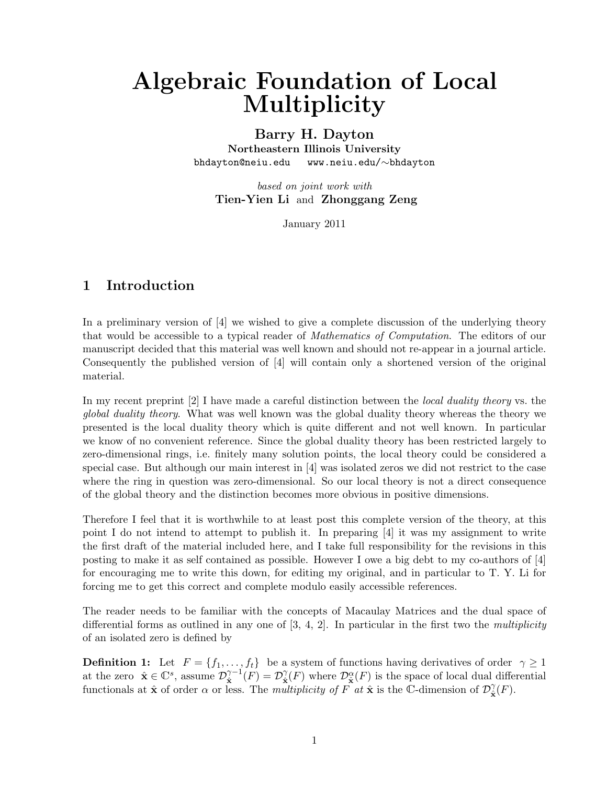# Algebraic Foundation of Local Multiplicity

#### Barry H. Dayton

Northeastern Illinois University bhdayton@neiu.edu www.neiu.edu/∼bhdayton

based on joint work with Tien-Yien Li and Zhonggang Zeng

January 2011

## 1 Introduction

In a preliminary version of [4] we wished to give a complete discussion of the underlying theory that would be accessible to a typical reader of *Mathematics of Computation*. The editors of our manuscript decided that this material was well known and should not re-appear in a journal article. Consequently the published version of [4] will contain only a shortened version of the original material.

In my recent preprint [2] I have made a careful distinction between the *local duality theory* vs. the global duality theory. What was well known was the global duality theory whereas the theory we presented is the local duality theory which is quite different and not well known. In particular we know of no convenient reference. Since the global duality theory has been restricted largely to zero-dimensional rings, i.e. finitely many solution points, the local theory could be considered a special case. But although our main interest in [4] was isolated zeros we did not restrict to the case where the ring in question was zero-dimensional. So our local theory is not a direct consequence of the global theory and the distinction becomes more obvious in positive dimensions.

Therefore I feel that it is worthwhile to at least post this complete version of the theory, at this point I do not intend to attempt to publish it. In preparing [4] it was my assignment to write the first draft of the material included here, and I take full responsibility for the revisions in this posting to make it as self contained as possible. However I owe a big debt to my co-authors of [4] for encouraging me to write this down, for editing my original, and in particular to T. Y. Li for forcing me to get this correct and complete modulo easily accessible references.

The reader needs to be familiar with the concepts of Macaulay Matrices and the dual space of differential forms as outlined in any one of  $[3, 4, 2]$ . In particular in the first two the *multiplicity* of an isolated zero is defined by

**Definition 1:** Let  $F = \{f_1, \ldots, f_t\}$  be a system of functions having derivatives of order  $\gamma \ge 1$ at the zero  $\hat{\mathbf{x}} \in \mathbb{C}^s$ , assume  $\mathcal{D}_{\hat{\mathbf{x}}}^{\gamma-1}$  $\hat{\mathbf{x}}^{-1}(F) = \mathcal{D}^{\gamma}_{\hat{\mathbf{x}}}$  $\hat{\mathbf{x}}(F)$  where  $\mathcal{D}_{\hat{\mathbf{x}}}^{\alpha}(F)$  is the space of local dual differential functionals at  $\hat{\mathbf{x}}$  of order  $\alpha$  or less. The *multiplicity of*  $\hat{F}$  at  $\hat{\mathbf{x}}$  is the C-dimension of  $\mathcal{D}^{\gamma}_{\hat{\mathbf{x}}}$  $_{\hat{\mathbf{x}}}^{\gamma}(F).$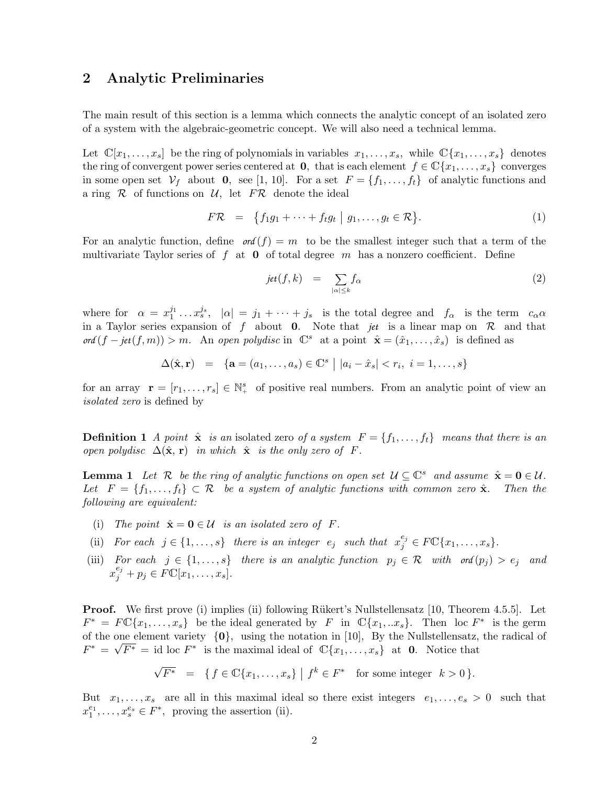### 2 Analytic Preliminaries

The main result of this section is a lemma which connects the analytic concept of an isolated zero of a system with the algebraic-geometric concept. We will also need a technical lemma.

Let  $\mathbb{C}[x_1,\ldots,x_s]$  be the ring of polynomials in variables  $x_1,\ldots,x_s$ , while  $\mathbb{C}\{x_1,\ldots,x_s\}$  denotes the ring of convergent power series centered at 0, that is each element  $f \in \mathbb{C}\{x_1, \ldots, x_s\}$  converges in some open set  $V_f$  about 0, see [1, 10]. For a set  $F = \{f_1, \ldots, f_t\}$  of analytic functions and a ring  $\mathcal R$  of functions on  $\mathcal U$ , let  $F\mathcal R$  denote the ideal

$$
F\mathcal{R} = \{f_1g_1 + \dots + f_tg_t \mid g_1, \dots, g_t \in \mathcal{R}\}.
$$
 (1)

For an analytic function, define  $\text{ord}(f) = m$  to be the smallest integer such that a term of the multivariate Taylor series of f at  $\bf{0}$  of total degree m has a nonzero coefficient. Define

$$
jet(f,k) = \sum_{|\alpha| \le k} f_{\alpha} \tag{2}
$$

where for  $\alpha = x_1^{j_1} \dots x_s^{j_s}$ ,  $|\alpha| = j_1 + \dots + j_s$  is the total degree and  $f_\alpha$  is the term  $c_\alpha \alpha$ in a Taylor series expansion of f about **0**. Note that *jet* is a linear map on  $\mathcal{R}$  and that  $\textit{ord}(f - \textit{jet}(f, m)) > m$ . An open polydisc in  $\mathbb{C}^s$  at a point  $\hat{\mathbf{x}} = (\hat{x}_1, \dots, \hat{x}_s)$  is defined as

$$
\Delta(\hat{\mathbf{x}}, \mathbf{r}) = {\mathbf{a} = (a_1, \dots, a_s) \in \mathbb{C}^s | |a_i - \hat{x}_s| < r_i, i = 1, \dots, s}
$$

for an array  $\mathbf{r} = [r_1, \ldots, r_s] \in \mathbb{N}^s_+$  of positive real numbers. From an analytic point of view an isolated zero is defined by

**Definition 1** A point  $\hat{\mathbf{x}}$  is an isolated zero of a system  $F = \{f_1, \ldots, f_t\}$  means that there is an open polydisc  $\Delta(\hat{\mathbf{x}}, \mathbf{r})$  in which  $\hat{\mathbf{x}}$  is the only zero of F.

**Lemma 1** Let R be the ring of analytic functions on open set  $U \subseteq \mathbb{C}^s$  and assume  $\hat{\mathbf{x}} = \mathbf{0} \in \mathcal{U}$ . Let  $F = \{f_1, \ldots, f_t\} \subset \mathcal{R}$  be a system of analytic functions with common zero  $\hat{\mathbf{x}}$ . Then the following are equivalent:

- (i) The point  $\hat{\mathbf{x}} = \mathbf{0} \in \mathcal{U}$  is an isolated zero of F.
- (ii) For each  $j \in \{1, \ldots, s\}$  there is an integer  $e_j$  such that  $x_j^{e_j} \in F\mathbb{C}\{x_1, \ldots, x_s\}$ .
- (iii) For each  $j \in \{1, ..., s\}$  there is an analytic function  $p_j \in \mathcal{R}$  with  $\text{ord}(p_j) > e_j$  and  $x_j^{e_j} + p_j \in F\mathbb{C}[x_1,\ldots,x_s].$

**Proof.** We first prove (i) implies (ii) following Rükert's Nullstellensatz [10, Theorem 4.5.5]. Let  $F^* = F \mathbb{C} \{x_1, \ldots, x_s\}$  be the ideal generated by F in  $\mathbb{C} \{x_1, \ldots x_s\}$ . Then loc  $F^*$  is the germ of the one element variety  $\{0\}$ , using the notation in [10], By the Nullstellensatz, the radical of  $F^* = \sqrt{F^*} = id$  loc  $F^*$  is the maximal ideal of  $\mathbb{C}\{x_1, \ldots, x_s\}$  at **0**. Notice that

$$
\sqrt{F^*} = \{ f \in \mathbb{C} \{x_1, \ldots, x_s\} \mid f^k \in F^* \text{ for some integer } k > 0 \}.
$$

But  $x_1, \ldots, x_s$  are all in this maximal ideal so there exist integers  $e_1, \ldots, e_s > 0$  such that  $x_1^{e_1}, \ldots, x_s^{e_s} \in F^*$ , proving the assertion (ii).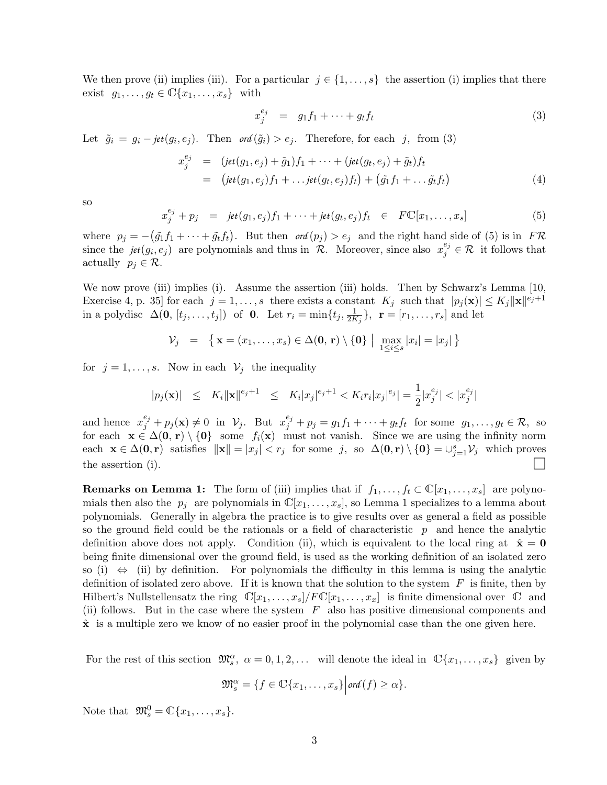We then prove (ii) implies (iii). For a particular  $j \in \{1, \ldots, s\}$  the assertion (i) implies that there exist  $g_1, \ldots, g_t \in \mathbb{C}\{x_1, \ldots, x_s\}$  with

$$
x_j^{e_j} = g_1 f_1 + \dots + g_t f_t \tag{3}
$$

Let  $\tilde{g}_i = g_i - jet(g_i, e_j)$ . Then  $\sigma d(\tilde{g}_i) > e_j$ . Therefore, for each j, from (3)

$$
x_j^{e_j} = (jet(g_1, e_j) + \tilde{g}_1)f_1 + \cdots + (jet(g_t, e_j) + \tilde{g}_t)f_t
$$
  
= 
$$
(jet(g_1, e_j)f_1 + \cdots jet(g_t, e_j)f_t) + (\tilde{g}_1f_1 + \cdots \tilde{g}_tf_t)
$$
 (4)

so

$$
x_j^{e_j} + p_j = jet(g_1, e_j)f_1 + \cdots + jet(g_t, e_j)f_t \in F\mathbb{C}[x_1, \ldots, x_s]
$$
 (5)

where  $p_j = -(\tilde{g}_1 f_1 + \cdots + \tilde{g}_t f_t)$ . But then  $\sigma f(p_j) > e_j$  and the right hand side of (5) is in  $F \mathcal{R}$ since the  $jet(g_i, e_j)$  are polynomials and thus in  $\mathcal{R}$ . Moreover, since also  $x_j^{e_j} \in \mathcal{R}$  it follows that actually  $p_i \in \mathcal{R}$ .

We now prove (iii) implies (i). Assume the assertion (iii) holds. Then by Schwarz's Lemma [10, Exercise 4, p. 35] for each  $j = 1, ..., s$  there exists a constant  $K_j$  such that  $|p_j(\mathbf{x})| \le K_j ||\mathbf{x}||^{e_j+1}$ in a polydisc  $\Delta(\mathbf{0}, [t_j, \ldots, t_j])$  of **0**. Let  $r_i = \min\{t_j, \frac{1}{2K}\}$  $\frac{1}{2K_j}$ ,  $\mathbf{r} = [r_1, \ldots, r_s]$  and let

$$
\mathcal{V}_j = \left\{ \mathbf{x} = (x_1, \dots, x_s) \in \Delta(\mathbf{0}, \mathbf{r}) \setminus \{ \mathbf{0} \} \mid \max_{1 \leq i \leq s} |x_i| = |x_j| \right\}
$$

for  $j = 1, \ldots, s$ . Now in each  $\mathcal{V}_j$  the inequality

$$
|p_j(\mathbf{x})| \leq K_i \|\mathbf{x}\|^{e_j+1} \leq K_i |x_j|^{e_j+1} < K_i r_i |x_j|^{e_j} = \frac{1}{2} |x_j^{e_j}| < |x_j^{e_j}|
$$

and hence  $x_j^{e_j} + p_j(\mathbf{x}) \neq 0$  in  $\mathcal{V}_j$ . But  $x_j^{e_j} + p_j = g_1 f_1 + \cdots + g_t f_t$  for some  $g_1, \ldots, g_t \in \mathcal{R}$ , so for each  $\mathbf{x} \in \Delta(0, r) \setminus \{0\}$  some  $f_i(\mathbf{x})$  must not vanish. Since we are using the infinity norm each  $\mathbf{x} \in \Delta(\mathbf{0}, \mathbf{r})$  satisfies  $\|\mathbf{x}\| = |x_j| < r_j$  for some j, so  $\Delta(\mathbf{0}, \mathbf{r}) \setminus \{\mathbf{0}\} = \cup_{j=1}^s \mathcal{V}_j$  which proves the assertion (i).

**Remarks on Lemma 1:** The form of (iii) implies that if  $f_1, \ldots, f_t \in \mathbb{C}[x_1, \ldots, x_s]$  are polynomials then also the  $p_i$  are polynomials in  $\mathbb{C}[x_1,\ldots,x_s]$ , so Lemma 1 specializes to a lemma about polynomials. Generally in algebra the practice is to give results over as general a field as possible so the ground field could be the rationals or a field of characteristic  $p$  and hence the analytic definition above does not apply. Condition (ii), which is equivalent to the local ring at  $\hat{\mathbf{x}} = \mathbf{0}$ being finite dimensional over the ground field, is used as the working definition of an isolated zero so (i)  $\Leftrightarrow$  (ii) by definition. For polynomials the difficulty in this lemma is using the analytic definition of isolated zero above. If it is known that the solution to the system  $F$  is finite, then by Hilbert's Nullstellensatz the ring  $\mathbb{C}[x_1,\ldots,x_s]/F\mathbb{C}[x_1,\ldots,x_x]$  is finite dimensional over  $\mathbb C$  and (ii) follows. But in the case where the system  $F$  also has positive dimensional components and  $\hat{x}$  is a multiple zero we know of no easier proof in the polynomial case than the one given here.

For the rest of this section  $\mathfrak{M}_s^{\alpha}$ ,  $\alpha = 0, 1, 2, \ldots$  will denote the ideal in  $\mathbb{C}\lbrace x_1, \ldots, x_s \rbrace$  given by

$$
\mathfrak{M}_s^{\alpha} = \{ f \in \mathbb{C} \{x_1, \ldots, x_s \} \Big| \text{ord}(f) \geq \alpha \}.
$$

Note that  $\mathfrak{M}_s^0 = \mathbb{C}\{x_1,\ldots,x_s\}.$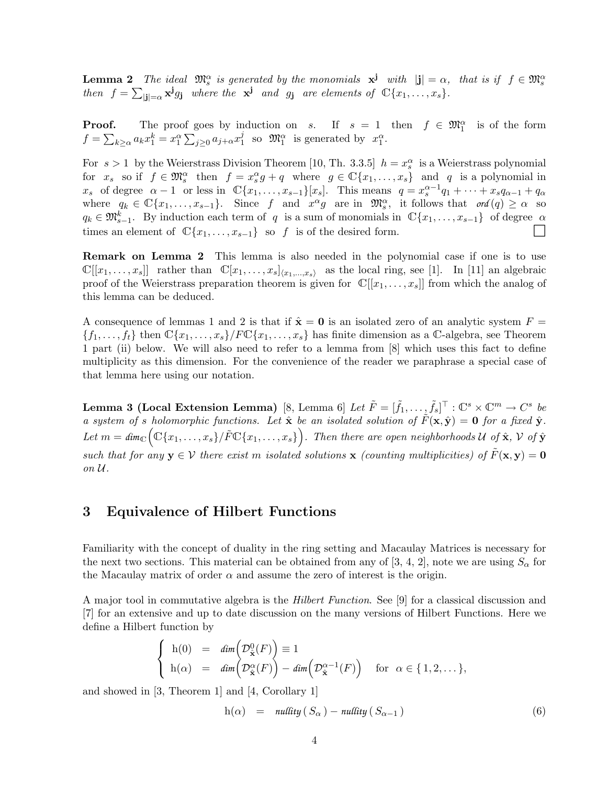**Lemma 2** The ideal  $\mathfrak{M}_{s}^{\alpha}$  is generated by the monomials  $\mathbf{x}^{\mathbf{j}}$  with  $|\mathbf{j}| = \alpha$ , that is if  $f \in \mathfrak{M}_{s}^{\alpha}$ then  $f = \sum_{|\mathbf{j}| = \alpha} \mathbf{x}^{\mathbf{j}} g_{\mathbf{j}}$  where the  $\mathbf{x}^{\mathbf{j}}$  and  $g_{\mathbf{j}}$  are elements of  $\mathbb{C}\{x_1, \ldots, x_s\}$ .

**Proof.** The proof goes by induction on s. If  $s = 1$  then  $f \in \mathfrak{M}^{\alpha}_{1}$  is of the form  $f = \sum_{k \geq \alpha} a_k x_1^k = x_1^{\alpha} \sum_{j \geq 0} a_{j+\alpha} x_1^j$ <sup>j</sup> so  $\mathfrak{M}_{1}^{\alpha}$  is generated by  $x_{1}^{\alpha}$ .

For  $s > 1$  by the Weierstrass Division Theorem [10, Th. 3.3.5]  $h = x_s^{\alpha}$  is a Weierstrass polynomial for  $x_s$  so if  $f \in \mathfrak{M}_s^{\alpha}$  then  $f = x_s^{\alpha} g + q$  where  $g \in \mathbb{C}{x_1, \ldots, x_s}$  and q is a polynomial in  $x_s$  of degree  $\alpha - 1$  or less in  $\mathbb{C}\{x_1, \ldots, x_{s-1}\}[x_s]$ . This means  $q = x_s^{\alpha-1}q_1 + \cdots + x_sq_{\alpha-1} + q_\alpha$ where  $q_k \in \mathbb{C}\{x_1,\ldots,x_{s-1}\}$ . Since f and  $x^{\alpha}g$  are in  $\mathfrak{M}_s^{\alpha}$ , it follows that  $\text{ord}(q) \geq \alpha$  so  $q_k \in \mathfrak{M}_{s-1}^k$ . By induction each term of q is a sum of monomials in  $\mathbb{C}\lbrace x_1,\ldots,x_{s-1}\rbrace$  of degree  $\alpha$ times an element of  $\mathbb{C}\{x_1,\ldots,x_{s-1}\}\$  so f is of the desired form.

**Remark on Lemma 2** This lemma is also needed in the polynomial case if one is to use  $\mathbb{C}[[x_1,\ldots,x_s]]$  rather than  $\mathbb{C}[x_1,\ldots,x_s]_{\langle x_1,\ldots,x_s\rangle}$  as the local ring, see [1]. In [11] an algebraic proof of the Weierstrass preparation theorem is given for  $\mathbb{C}[[x_1, \ldots, x_s]]$  from which the analog of this lemma can be deduced.

A consequence of lemmas 1 and 2 is that if  $\hat{\mathbf{x}} = \mathbf{0}$  is an isolated zero of an analytic system  $F =$  ${f_1,\ldots,f_t}$  then  $\mathbb{C}\{x_1,\ldots,x_s\}/F\mathbb{C}\{x_1,\ldots,x_s\}$  has finite dimension as a C-algebra, see Theorem 1 part (ii) below. We will also need to refer to a lemma from [8] which uses this fact to define multiplicity as this dimension. For the convenience of the reader we paraphrase a special case of that lemma here using our notation.

Lemma 3 (Local Extension Lemma)  $[8, \text{ Lemma 6}] \, \, Let \, \tilde{F} = [\tilde{f}_1, \ldots, \tilde{f}_s]^\top : \mathbb{C}^s \times \mathbb{C}^m \to C^s \, \, be$ a system of s holomorphic functions. Let  $\hat{\mathbf{x}}$  be an isolated solution of  $\tilde{F}(\mathbf{x}, \hat{\mathbf{y}}) = \mathbf{0}$  for a fixed  $\hat{\mathbf{y}}$ . Let  $m = dim_{\mathbb{C}}(\mathbb{C}\{x_1,\ldots,x_s\}/\tilde{F}\mathbb{C}\{x_1,\ldots,x_s\})$ . Then there are open neighborhoods U of  $\hat{\mathbf{x}}, \mathcal{V}$  of  $\hat{\mathbf{y}}$ such that for any  $y \in V$  there exist m isolated solutions x (counting multiplicities) of  $\tilde{F}(x, y) = 0$ on U.

### 3 Equivalence of Hilbert Functions

Familiarity with the concept of duality in the ring setting and Macaulay Matrices is necessary for the next two sections. This material can be obtained from any of [3, 4, 2], note we are using  $S_{\alpha}$  for the Macaulay matrix of order  $\alpha$  and assume the zero of interest is the origin.

A major tool in commutative algebra is the Hilbert Function. See [9] for a classical discussion and [7] for an extensive and up to date discussion on the many versions of Hilbert Functions. Here we define a Hilbert function by

$$
\begin{cases}\n\mathbf{h}(0) = \dim\left(\mathcal{D}^0_{\hat{\mathbf{x}}}(F)\right) \equiv 1 \\
\mathbf{h}(\alpha) = \dim\left(\mathcal{D}^{\alpha}_{\hat{\mathbf{x}}}(F)\right) - \dim\left(\mathcal{D}^{\alpha-1}_{\hat{\mathbf{x}}}(F)\right) \quad \text{for } \alpha \in \{1, 2, \dots\},\n\end{cases}
$$

and showed in [3, Theorem 1] and [4, Corollary 1]

$$
h(\alpha) = nullity(S_{\alpha}) - nullity(S_{\alpha-1})
$$
\n(6)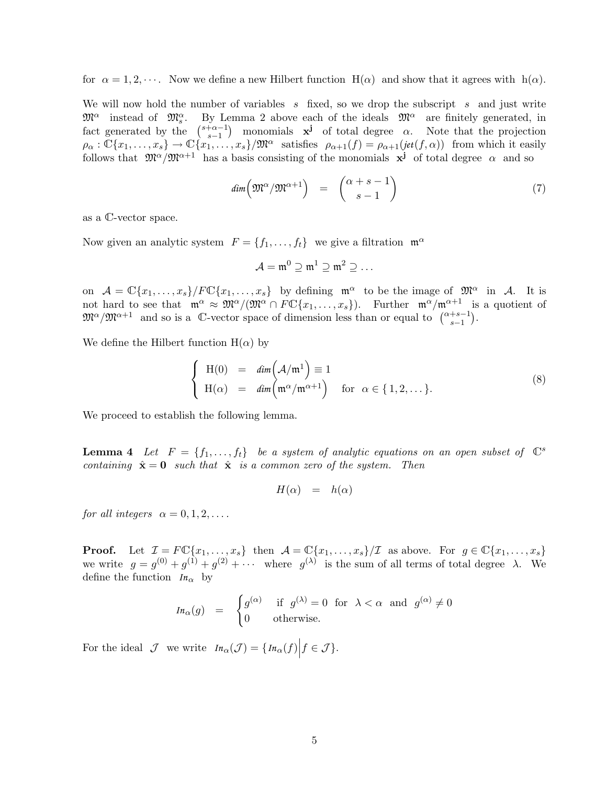for  $\alpha = 1, 2, \cdots$ . Now we define a new Hilbert function  $H(\alpha)$  and show that it agrees with  $h(\alpha)$ .

We will now hold the number of variables s fixed, so we drop the subscript s and just write  $\mathfrak{M}^{\alpha}$  instead of  $\mathfrak{M}^{\alpha}_{s}$ By Lemma 2 above each of the ideals  $\mathfrak{M}^{\alpha}$  are finitely generated, in fact generated by the  $\binom{s+\alpha-1}{s-1}$  $\begin{pmatrix} +\alpha-1 \\ s-1 \end{pmatrix}$  monomials **x<sup>j</sup>** of total degree  $\alpha$ . Note that the projection  $\rho_{\alpha}: \mathbb{C}\{x_1,\ldots,x_s\} \to \mathbb{C}\{\tilde{x_1},\ldots,\tilde{x_s}\}/\mathfrak{M}^{\alpha}$  satisfies  $\rho_{\alpha+1}(f) = \rho_{\alpha+1}(jet(f,\alpha))$  from which it easily follows that  $\mathfrak{M}^{\alpha}/\mathfrak{M}^{\alpha+1}$  has a basis consisting of the monomials  $x^{j}$  of total degree  $\alpha$  and so

$$
dim\left(\mathfrak{M}^{\alpha}/\mathfrak{M}^{\alpha+1}\right) = \begin{pmatrix} \alpha+s-1\\ s-1 \end{pmatrix} \tag{7}
$$

as a C-vector space.

Now given an analytic system  $F = \{f_1, \ldots, f_t\}$  we give a filtration  $\mathfrak{m}^{\alpha}$ 

$$
\mathcal{A}=\mathfrak{m}^0\supseteq\mathfrak{m}^1\supseteq\mathfrak{m}^2\supseteq\ldots
$$

on  $\mathcal{A} = \mathbb{C}\{x_1,\ldots,x_s\}/F\mathbb{C}\{x_1,\ldots,x_s\}$  by defining  $\mathfrak{m}^{\alpha}$  to be the image of  $\mathfrak{M}^{\alpha}$  in A. It is not hard to see that  $\mathfrak{m}^{\alpha} \approx \mathfrak{M}^{\alpha}/(\mathfrak{M}^{\alpha} \cap F\mathbb{C}\{x_1,\ldots,x_s\})$ . Further  $\mathfrak{m}^{\alpha}/\mathfrak{m}^{\alpha+1}$  is a quotient of  $\mathfrak{M}^{\alpha}/\mathfrak{M}^{\alpha+1}$  and so is a C-vector space of dimension less than or equal to  $\binom{\alpha+s-1}{s-1}$ .

We define the Hilbert function  $H(\alpha)$  by

$$
\begin{cases}\nH(0) = \dim(A/\mathfrak{m}^1) \equiv 1 \\
H(\alpha) = \dim(\mathfrak{m}^{\alpha}/\mathfrak{m}^{\alpha+1}) \quad \text{for } \alpha \in \{1, 2, \dots\}.\n\end{cases}
$$
\n(8)

We proceed to establish the following lemma.

**Lemma 4** Let  $F = \{f_1, \ldots, f_t\}$  be a system of analytic equations on an open subset of  $\mathbb{C}^s$ containing  $\hat{\mathbf{x}} = \mathbf{0}$  such that  $\hat{\mathbf{x}}$  is a common zero of the system. Then

$$
H(\alpha) = h(\alpha)
$$

for all integers  $\alpha = 0, 1, 2, \ldots$ .

**Proof.** Let  $\mathcal{I} = F \mathbb{C} \{x_1, \ldots, x_s\}$  then  $\mathcal{A} = \mathbb{C} \{x_1, \ldots, x_s\} / \mathcal{I}$  as above. For  $g \in \mathbb{C} \{x_1, \ldots, x_s\}$ we write  $g = g^{(0)} + g^{(1)} + g^{(2)} + \cdots$  where  $g^{(\lambda)}$  is the sum of all terms of total degree  $\lambda$ . We define the function  $I_{n_\alpha}$  by

$$
I_{\mathcal{H}_{\alpha}}(g) = \begin{cases} g^{(\alpha)} & \text{if } g^{(\lambda)} = 0 \text{ for } \lambda < \alpha \text{ and } g^{(\alpha)} \neq 0 \\ 0 & \text{otherwise.} \end{cases}
$$

For the ideal  $\mathcal J$  we write  $In_{\alpha}(\mathcal J) = \{In_{\alpha}(f) | f \in \mathcal J\}.$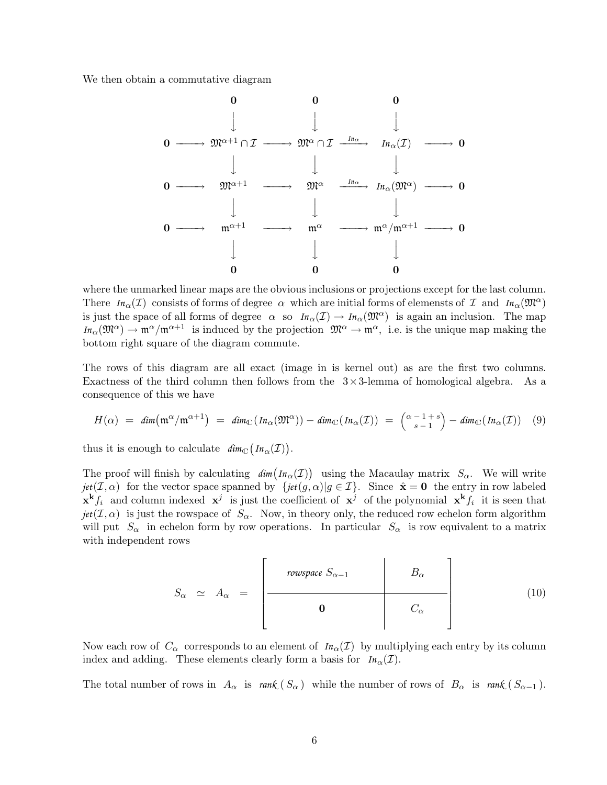We then obtain a commutative diagram



where the unmarked linear maps are the obvious inclusions or projections except for the last column. There  $I_n(\mathcal{I})$  consists of forms of degree  $\alpha$  which are initial forms of elemensts of  $\mathcal{I}$  and  $I_n(\mathfrak{M}^{\alpha})$ is just the space of all forms of degree  $\alpha$  so  $In_{\alpha}(\mathcal{I}) \to In_{\alpha}(\mathfrak{M}^{\alpha})$  is again an inclusion. The map  $In_{\alpha}(\mathfrak{M}^{\alpha}) \to \mathfrak{m}^{\alpha}/\mathfrak{m}^{\alpha+1}$  is induced by the projection  $\mathfrak{M}^{\alpha} \to \mathfrak{m}^{\alpha}$ , i.e. is the unique map making the bottom right square of the diagram commute.

The rows of this diagram are all exact (image in is kernel out) as are the first two columns. Exactness of the third column then follows from the  $3 \times 3$ -lemma of homological algebra. As a consequence of this we have

$$
H(\alpha) = \dim(\mathfrak{m}^{\alpha}/\mathfrak{m}^{\alpha+1}) = \dim_{\mathbb{C}}(\text{In}_{\alpha}(\mathfrak{M}^{\alpha})) - \dim_{\mathbb{C}}(\text{In}_{\alpha}(\mathcal{I})) = {\alpha-1+s \choose s-1} - \dim_{\mathbb{C}}(\text{In}_{\alpha}(\mathcal{I})) \quad (9)
$$

thus it is enough to calculate  $\dim_{\mathbb{C}} (In_{\alpha}(\mathcal{I}))$ .

The proof will finish by calculating  $\dim \bigl( In_{\alpha}(\mathcal{I}) \bigr)$  using the Macaulay matrix  $S_{\alpha}$ . We will write *jet*( $I, \alpha$ ) for the vector space spanned by {*jet*( $g, \alpha$ )| $g \in I$ }. Since  $\hat{\mathbf{x}} = \mathbf{0}$  the entry in row labeled  $\mathbf{x}^{\mathbf{k}}f_i$  and column indexed  $\mathbf{x}^j$  is just the coefficient of  $\mathbf{x}^j$  of the polynomial  $\mathbf{x}^{\mathbf{k}}f_i$  it is seen that  $jet(\mathcal{I}, \alpha)$  is just the rowspace of  $S_{\alpha}$ . Now, in theory only, the reduced row echelon form algorithm will put  $S_{\alpha}$  in echelon form by row operations. In particular  $S_{\alpha}$  is row equivalent to a matrix with independent rows

$$
S_{\alpha} \simeq A_{\alpha} = \begin{bmatrix} \text{rowspace } S_{\alpha-1} & B_{\alpha} \\ 0 & C_{\alpha} \end{bmatrix}
$$
 (10)

Now each row of  $C_{\alpha}$  corresponds to an element of  $I_{n_{\alpha}}(\mathcal{I})$  by multiplying each entry by its column index and adding. These elements clearly form a basis for  $In_{\alpha}(\mathcal{I})$ .

The total number of rows in  $A_{\alpha}$  is  $rank(S_{\alpha})$  while the number of rows of  $B_{\alpha}$  is  $rank(S_{\alpha-1})$ .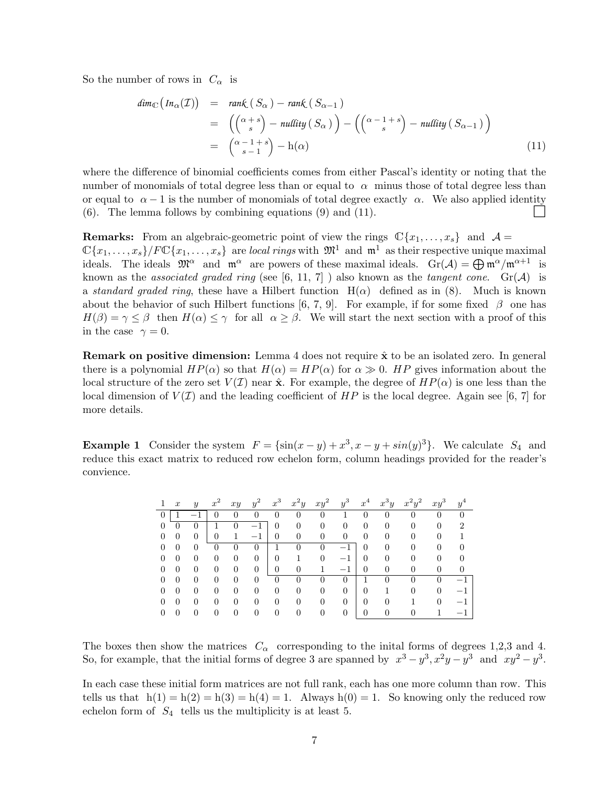So the number of rows in  $C_{\alpha}$  is

$$
\begin{array}{rcl}\n\dim_{\mathbb{C}}\left(\operatorname{In}_{\alpha}(\mathcal{I})\right) & = & \operatorname{rank}\left(\operatorname{S}_{\alpha}\right) - \operatorname{rank}\left(\operatorname{S}_{\alpha-1}\right) \\
& = & \left(\binom{\alpha+s}{s} - \operatorname{nullity}\left(\operatorname{S}_{\alpha}\right)\right) - \left(\binom{\alpha-1+s}{s} - \operatorname{nullity}\left(\operatorname{S}_{\alpha-1}\right)\right) \\
& = & \left(\frac{\alpha-1+s}{s-1}\right) - \operatorname{h}(\alpha)\n\end{array} \tag{11}
$$

where the difference of binomial coefficients comes from either Pascal's identity or noting that the number of monomials of total degree less than or equal to  $\alpha$  minus those of total degree less than or equal to  $\alpha - 1$  is the number of monomials of total degree exactly  $\alpha$ . We also applied identity (6). The lemma follows by combining equations (9) and (11).

**Remarks:** From an algebraic-geometric point of view the rings  $\mathbb{C}\{x_1, \ldots, x_s\}$  and  $\mathcal{A} =$  $\mathbb{C}\{x_1,\ldots,x_s\}/F\mathbb{C}\{x_1,\ldots,x_s\}$  are local rings with  $\mathfrak{M}^1$  and  $\mathfrak{m}^1$  as their respective unique maximal ideals. The ideals  $\mathfrak{M}^{\alpha}$  and  $\mathfrak{m}^{\alpha}$  are powers of these maximal ideals.  $Gr(\mathcal{A}) = \bigoplus \mathfrak{m}^{\alpha}/\mathfrak{m}^{\alpha+1}$  is known as the associated graded ring (see [6, 11, 7]) also known as the tangent cone.  $Gr(\mathcal{A})$  is a standard graded ring, these have a Hilbert function  $H(\alpha)$  defined as in (8). Much is known about the behavior of such Hilbert functions [6, 7, 9]. For example, if for some fixed  $\beta$  one has  $H(\beta) = \gamma \leq \beta$  then  $H(\alpha) \leq \gamma$  for all  $\alpha \geq \beta$ . We will start the next section with a proof of this in the case  $\gamma = 0$ .

**Remark on positive dimension:** Lemma 4 does not require  $\hat{\mathbf{x}}$  to be an isolated zero. In general there is a polynomial  $HP(\alpha)$  so that  $H(\alpha) = HP(\alpha)$  for  $\alpha \gg 0$ . HP gives information about the local structure of the zero set  $V(\mathcal{I})$  near  $\hat{\mathbf{x}}$ . For example, the degree of  $HP(\alpha)$  is one less than the local dimension of  $V(\mathcal{I})$  and the leading coefficient of  $HP$  is the local degree. Again see [6, 7] for more details.

**Example 1** Consider the system  $F = \{\sin(x - y) + x^3, x - y + \sin(y)^3\}$ . We calculate  $S_4$  and reduce this exact matrix to reduced row echelon form, column headings provided for the reader's convience.

| $\boldsymbol{x}$ | $\boldsymbol{y}$ | $x^2$        | xy       | $\Omega$<br>$\overline{y}$    | $x^3$          | $x^2y$ | $\overline{2}$<br>xy | $y^3$ | $x^4$    | $x^3y$ | $x^2y^2$ | $xy^3$ | $\overline{A}$<br>$\overline{y}$ |
|------------------|------------------|--------------|----------|-------------------------------|----------------|--------|----------------------|-------|----------|--------|----------|--------|----------------------------------|
|                  |                  |              | 0        |                               |                |        | 0                    |       |          |        |          |        |                                  |
|                  |                  |              | 0        |                               | 0              |        | 0                    | 0     | $\theta$ |        | 0        |        | 2                                |
| $\theta$         | 0                |              |          | 1<br>$\overline{\phantom{0}}$ | 0              |        |                      | O     | $\Omega$ |        | 0        | 0      |                                  |
|                  |                  |              | U        | O                             |                |        |                      |       | 0        |        | 0        | 0      |                                  |
|                  |                  |              | $\theta$ | $\overline{0}$                | $\overline{0}$ |        | 0                    | $-1$  | N        |        |          | 0      |                                  |
|                  |                  |              | 0        | $\overline{0}$                | 0              |        |                      |       | ⋂        |        | 0        | 0      |                                  |
|                  |                  |              | 0        | $\theta$                      |                |        |                      |       |          |        |          |        |                                  |
|                  |                  |              | 0        |                               | 0              |        | 0                    | 0     | $\theta$ |        | 0        | 0      |                                  |
|                  |                  |              | U        | 0                             | 0              |        | 0                    | 0     | 0        |        |          |        |                                  |
|                  |                  | $\mathbf{0}$ | 0        | 0                             | 0              |        |                      | 0     | O        | ∩      |          |        |                                  |

The boxes then show the matrices  $C_{\alpha}$  corresponding to the initial forms of degrees 1,2,3 and 4. So, for example, that the initial forms of degree 3 are spanned by  $x^3 - y^3$ ,  $x^2y - y^3$  and  $xy^2 - y^3$ .

In each case these initial form matrices are not full rank, each has one more column than row. This tells us that  $h(1) = h(2) = h(3) = h(4) = 1$ . Always  $h(0) = 1$ . So knowing only the reduced row echelon form of  $S_4$  tells us the multiplicity is at least 5.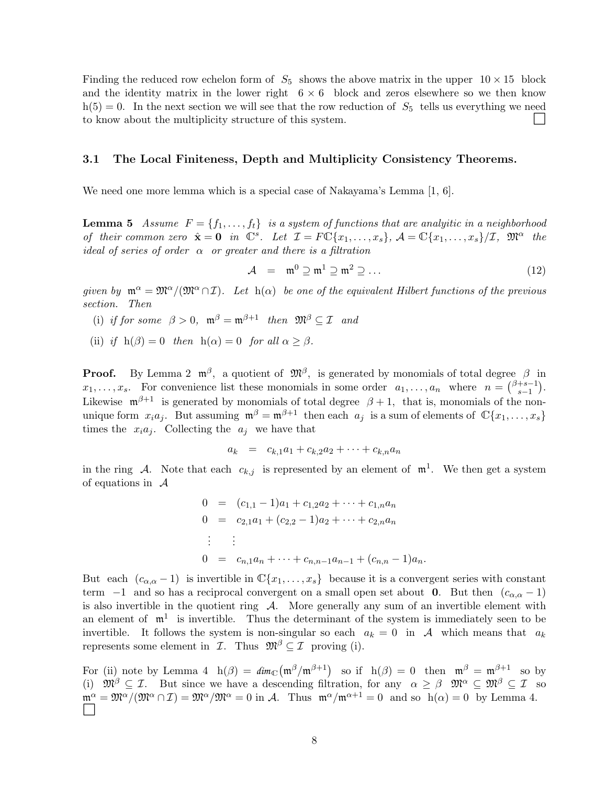Finding the reduced row echelon form of  $S_5$  shows the above matrix in the upper  $10 \times 15$  block and the identity matrix in the lower right  $6 \times 6$  block and zeros elsewhere so we then know  $h(5) = 0$ . In the next section we will see that the row reduction of  $S_5$  tells us everything we need to know about the multiplicity structure of this system.

#### 3.1 The Local Finiteness, Depth and Multiplicity Consistency Theorems.

We need one more lemma which is a special case of Nakayama's Lemma [1, 6].

**Lemma 5** Assume  $F = \{f_1, \ldots, f_t\}$  is a system of functions that are analyitic in a neighborhood of their common zero  $\hat{\mathbf{x}} = \mathbf{0}$  in  $\mathbb{C}^s$ . Let  $\mathcal{I} = F \mathbb{C} \{x_1, \ldots, x_s\}$ ,  $\mathcal{A} = \mathbb{C} \{x_1, \ldots, x_s\} / \mathcal{I}$ ,  $\mathfrak{M}^{\alpha}$  the ideal of series of order  $\alpha$  or greater and there is a filtration

$$
\mathcal{A} = \mathfrak{m}^0 \supseteq \mathfrak{m}^1 \supseteq \mathfrak{m}^2 \supseteq \dots \tag{12}
$$

given by  $\mathfrak{m}^{\alpha} = \mathfrak{M}^{\alpha}/(\mathfrak{M}^{\alpha} \cap \mathcal{I})$ . Let  $h(\alpha)$  be one of the equivalent Hilbert functions of the previous section. Then

- (i) if for some  $\beta > 0$ ,  $\mathfrak{m}^{\beta} = \mathfrak{m}^{\beta+1}$  then  $\mathfrak{M}^{\beta} \subseteq \mathcal{I}$  and
- (ii) if  $h(\beta) = 0$  then  $h(\alpha) = 0$  for all  $\alpha \geq \beta$ .

**Proof.** By Lemma 2  $\mathfrak{m}^{\beta}$ , a quotient of  $\mathfrak{M}^{\beta}$ , is generated by monomials of total degree  $\beta$  in  $x_1, \ldots, x_s$ . For convenience list these monomials in some order  $a_1, \ldots, a_n$  where  $n = \binom{\beta+s-1}{s-1}$  $_{s-1}^{+s-1}$ ). Likewise  $\mathfrak{m}^{\beta+1}$  is generated by monomials of total degree  $\beta+1$ , that is, monomials of the nonunique form  $x_i a_j$ . But assuming  $\mathfrak{m}^\beta = \mathfrak{m}^{\beta+1}$  then each  $a_j$  is a sum of elements of  $\mathbb{C}\{x_1, \ldots, x_s\}$ times the  $x_i a_j$ . Collecting the  $a_j$  we have that

$$
a_k = c_{k,1}a_1 + c_{k,2}a_2 + \cdots + c_{k,n}a_n
$$

in the ring A. Note that each  $c_{k,j}$  is represented by an element of  $\mathfrak{m}^1$ . We then get a system of equations in  $\mathcal A$ 

$$
0 = (c_{1,1} - 1)a_1 + c_{1,2}a_2 + \dots + c_{1,n}a_n
$$
  
\n
$$
0 = c_{2,1}a_1 + (c_{2,2} - 1)a_2 + \dots + c_{2,n}a_n
$$
  
\n
$$
\vdots \qquad \vdots
$$
  
\n
$$
0 = c_{n,1}a_n + \dots + c_{n,n-1}a_{n-1} + (c_{n,n} - 1)a_n.
$$

But each  $(c_{\alpha,\alpha}-1)$  is invertible in  $\mathbb{C}\{x_1,\ldots,x_s\}$  because it is a convergent series with constant term  $-1$  and so has a reciprocal convergent on a small open set about 0. But then  $(c_{\alpha,\alpha}-1)$ is also invertible in the quotient ring  $\mathcal{A}$ . More generally any sum of an invertible element with an element of  $\mathfrak{m}^1$  is invertible. Thus the determinant of the system is immediately seen to be invertible. It follows the system is non-singular so each  $a_k = 0$  in A which means that  $a_k$ represents some element in  $\mathcal{I}$ . Thus  $\mathfrak{M}^{\beta} \subseteq \mathcal{I}$  proving (i).

For (ii) note by Lemma 4  $h(\beta) = dim_{\mathbb{C}}(m^{\beta}/m^{\beta+1})$  so if  $h(\beta) = 0$  then  $m^{\beta} = m^{\beta+1}$  so by (i)  $\mathfrak{M}^{\beta} \subseteq \mathcal{I}$ . But since we have a descending filtration, for any  $\alpha \geq \beta$   $\mathfrak{M}^{\alpha} \subseteq \mathfrak{M}^{\beta} \subseteq \mathcal{I}$  so  $\mathfrak{m}^{\alpha} = \mathfrak{M}^{\alpha}/(\mathfrak{M}^{\alpha} \cap \mathcal{I}) = \mathfrak{M}^{\alpha}/\mathfrak{M}^{\alpha} = 0$  in A. Thus  $\mathfrak{m}^{\alpha}/\mathfrak{m}^{\alpha+1} = 0$  and so  $h(\alpha) = 0$  by Lemma 4.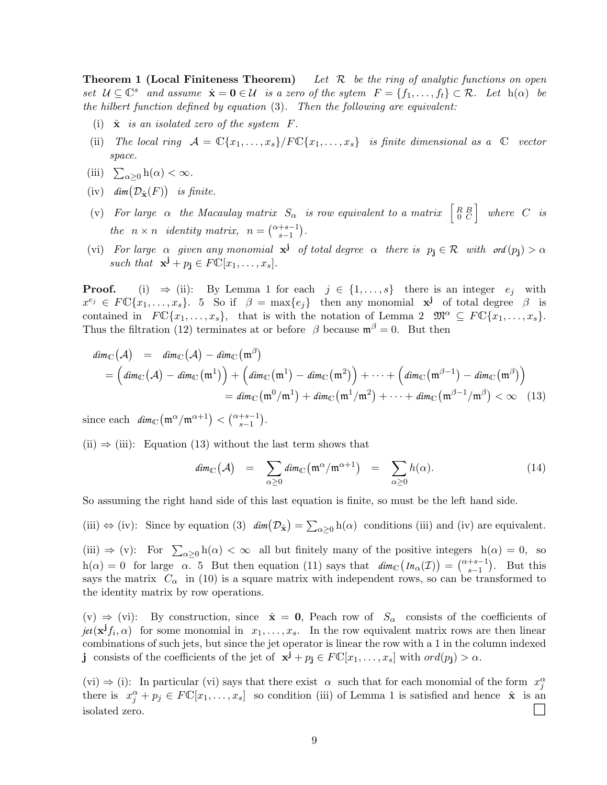**Theorem 1 (Local Finiteness Theorem)** Let  $\mathcal{R}$  be the ring of analytic functions on open set  $U \subseteq \mathbb{C}^s$  and assume  $\hat{\mathbf{x}} = \mathbf{0} \in \mathcal{U}$  is a zero of the sytem  $F = \{f_1, \ldots, f_t\} \subset \mathcal{R}$ . Let  $h(\alpha)$  be the hilbert function defined by equation (3). Then the following are equivalent:

- (i)  $\hat{\mathbf{x}}$  is an isolated zero of the system  $F$ .
- (ii) The local ring  $\mathcal{A} = \mathbb{C}\{x_1,\ldots,x_s\} / F\mathbb{C}\{x_1,\ldots,x_s\}$  is finite dimensional as a  $\mathbb C$  vector space.
- (iii)  $\sum_{\alpha \geq 0} h(\alpha) < \infty$ .
- $(iv)$  *dim*  $(\mathcal{D}_{\hat{\mathbf{x}}}(F))$  *is finite.*
- (v) For large  $\alpha$  the Macaulay matrix  $S_{\alpha}$  is row equivalent to a matrix  $\begin{bmatrix} R & B \\ 0 & C \end{bmatrix}$  where C is the  $n \times n$  identity matrix,  $n = \binom{\alpha+s-1}{s-1}$ .
- (vi) For large  $\alpha$  given any monomial  $x^{j}$  of total degree  $\alpha$  there is  $p_{j} \in \mathcal{R}$  with ord $(p_{j}) > \alpha$ such that  $\mathbf{x}^{\mathbf{j}} + p_{\mathbf{j}} \in F\mathbb{C}[x_1,\ldots,x_s].$

**Proof.** (i)  $\Rightarrow$  (ii): By Lemma 1 for each  $j \in \{1, ..., s\}$  there is an integer  $e_j$  with  $x^{e_j} \in F\mathbb{C}\{x_1,\ldots,x_s\}$ . 5 So if  $\beta = \max\{e_j\}$  then any monomial  $x^j$  of total degree  $\beta$  is contained in  $FC\{x_1, \ldots, x_s\}$ , that is with the notation of Lemma 2  $\mathfrak{M}^\alpha \subseteq FC\{x_1, \ldots, x_s\}$ . Thus the filtration (12) terminates at or before  $\beta$  because  $\mathfrak{m}^{\beta} = 0$ . But then

$$
dim_{\mathbb{C}}(\mathcal{A}) = dim_{\mathbb{C}}(\mathcal{A}) - dim_{\mathbb{C}}(\mathfrak{m}^{\beta})
$$
  
=  $(dim_{\mathbb{C}}(\mathcal{A}) - dim_{\mathbb{C}}(\mathfrak{m}^1)) + (dim_{\mathbb{C}}(\mathfrak{m}^1) - dim_{\mathbb{C}}(\mathfrak{m}^2)) + \cdots + (dim_{\mathbb{C}}(\mathfrak{m}^{\beta-1}) - dim_{\mathbb{C}}(\mathfrak{m}^{\beta}))$   
=  $dim_{\mathbb{C}}(\mathfrak{m}^0/\mathfrak{m}^1) + dim_{\mathbb{C}}(\mathfrak{m}^1/\mathfrak{m}^2) + \cdots + dim_{\mathbb{C}}(\mathfrak{m}^{\beta-1}/\mathfrak{m}^{\beta}) < \infty$  (13)

since each  $\dim_{\mathbb{C}}\left(\mathfrak{m}^{\alpha}/\mathfrak{m}^{\alpha+1}\right) < \binom{\alpha+s-1}{s-1}.$ 

 $(ii) \Rightarrow (iii)$ : Equation (13) without the last term shows that

$$
dim_{\mathbb{C}}(\mathcal{A}) = \sum_{\alpha \geq 0} dim_{\mathbb{C}}(\mathfrak{m}^{\alpha}/\mathfrak{m}^{\alpha+1}) = \sum_{\alpha \geq 0} h(\alpha). \tag{14}
$$

So assuming the right hand side of this last equation is finite, so must be the left hand side.

(iii)  $\Leftrightarrow$  (iv): Since by equation (3)  $\dim(\mathcal{D}_{\hat{\mathbf{x}}}) = \sum_{\alpha \geq 0} h(\alpha)$  conditions (iii) and (iv) are equivalent.

(iii)  $\Rightarrow$  (v): For  $\sum_{\alpha \geq 0} h(\alpha) < \infty$  all but finitely many of the positive integers  $h(\alpha) = 0$ , so  $h(\alpha) = 0$  for large  $\alpha$ . 5 But then equation (11) says that  $\dim_{\mathbb{C}}\left(\text{In}_{\alpha}(\mathcal{I})\right) = \binom{\alpha+s-1}{s-1}$ . But this says the matrix  $C_{\alpha}$  in (10) is a square matrix with independent rows, so can be transformed to the identity matrix by row operations.

(v)  $\Rightarrow$  (vi): By construction, since  $\hat{\mathbf{x}} = \mathbf{0}$ , Peach row of  $S_{\alpha}$  consists of the coefficients of  $\text{jet}(\mathbf{x}^{\mathbf{j}}f_i, \alpha)$  for some monomial in  $x_1, \ldots, x_s$ . In the row equivalent matrix rows are then linear combinations of such jets, but since the jet operator is linear the row with a 1 in the column indexed j consists of the coefficients of the jet of  $\mathbf{x}^{\mathbf{j}} + p_{\mathbf{j}} \in F\mathbb{C}[x_1,\ldots,x_s]$  with  $\text{ord}(p_{\mathbf{j}}) > \alpha$ .

(vi)  $\Rightarrow$  (i): In particular (vi) says that there exist  $\alpha$  such that for each monomial of the form  $x_j^{\alpha}$ there is  $x_j^{\alpha} + p_j \in F\mathbb{C}[x_1,\ldots,x_s]$  so condition (iii) of Lemma 1 is satisfied and hence  $\hat{\mathbf{x}}$  is an isolated zero.  $\Box$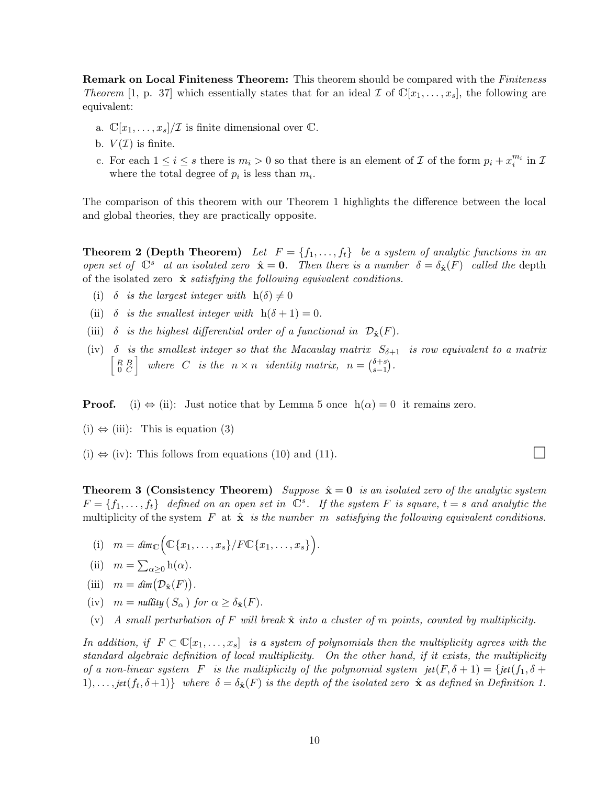**Remark on Local Finiteness Theorem:** This theorem should be compared with the *Finiteness* Theorem [1, p. 37] which essentially states that for an ideal  $\mathcal I$  of  $\mathbb C[x_1,\ldots,x_s]$ , the following are equivalent:

- a.  $\mathbb{C}[x_1,\ldots,x_s]/\mathcal{I}$  is finite dimensional over  $\mathbb{C}$ .
- b.  $V(\mathcal{I})$  is finite.
- c. For each  $1 \leq i \leq s$  there is  $m_i > 0$  so that there is an element of  $\mathcal I$  of the form  $p_i + x_i^{m_i}$  in  $\mathcal I$ where the total degree of  $p_i$  is less than  $m_i$ .

The comparison of this theorem with our Theorem 1 highlights the difference between the local and global theories, they are practically opposite.

**Theorem 2 (Depth Theorem)** Let  $F = \{f_1, \ldots, f_t\}$  be a system of analytic functions in an open set of  $\mathbb{C}^s$  at an isolated zero  $\hat{\mathbf{x}} = \mathbf{0}$ . Then there is a number  $\delta = \delta_{\hat{\mathbf{x}}}(F)$  called the depth of the isolated zero  $\hat{\mathbf{x}}$  satisfying the following equivalent conditions.

- (i)  $\delta$  is the largest integer with  $h(\delta) \neq 0$
- (ii)  $\delta$  is the smallest integer with  $h(\delta + 1) = 0$ .
- (iii)  $\delta$  is the highest differential order of a functional in  $\mathcal{D}_{\hat{\mathbf{x}}}(F)$ .
- (iv)  $\delta$  is the smallest integer so that the Macaulay matrix  $S_{\delta+1}$  is row equivalent to a matrix  $\begin{bmatrix} R & B \\ 0 & C \end{bmatrix}$  where C is the  $n \times n$  identity matrix,  $n = \binom{\delta + s}{s-1}$  $_{s-1}^{o+s}$ .

**Proof.** (i)  $\Leftrightarrow$  (ii): Just notice that by Lemma 5 once  $h(\alpha) = 0$  it remains zero.

- $(i) \Leftrightarrow (iii)$ : This is equation  $(3)$
- $(i) \Leftrightarrow (iv)$ : This follows from equations (10) and (11).

**Theorem 3 (Consistency Theorem)** Suppose  $\hat{\mathbf{x}} = \mathbf{0}$  is an isolated zero of the analytic system  $F = \{f_1, \ldots, f_t\}$  defined on an open set in  $\mathbb{C}^s$ . If the system F is square,  $t = s$  and analytic the multiplicity of the system  $F$  at  $\hat{x}$  is the number m satisfying the following equivalent conditions.

- (i)  $m = \dim_{\mathbb{C}} \Big( \mathbb{C} \{x_1, \ldots, x_s\} / F \mathbb{C} \{x_1, \ldots, x_s\} \Big).$
- (ii)  $m = \sum_{\alpha \geq 0} h(\alpha)$ .
- (iii)  $m = \dim(\mathcal{D}_{\hat{\mathbf{x}}}(F)).$
- (iv)  $m = \text{nullity}(S_{\alpha})$  for  $\alpha > \delta_{\hat{\mathbf{x}}}(F)$ .
- (v) A small perturbation of F will break  $\hat{\mathbf{x}}$  into a cluster of m points, counted by multiplicity.

In addition, if  $F \subset \mathbb{C}[x_1,\ldots,x_s]$  is a system of polynomials then the multiplicity agrees with the standard algebraic definition of local multiplicity. On the other hand, if it exists, the multiplicity of a non-linear system F is the multiplicity of the polynomial system  $jet(F, \delta + 1) = \{jet(f_1, \delta + 1)\}$ 1),...,  $\text{jet}(f_t, \delta+1)$  where  $\delta = \delta_{\hat{\mathbf{x}}}(F)$  is the depth of the isolated zero  $\hat{\mathbf{x}}$  as defined in Definition 1.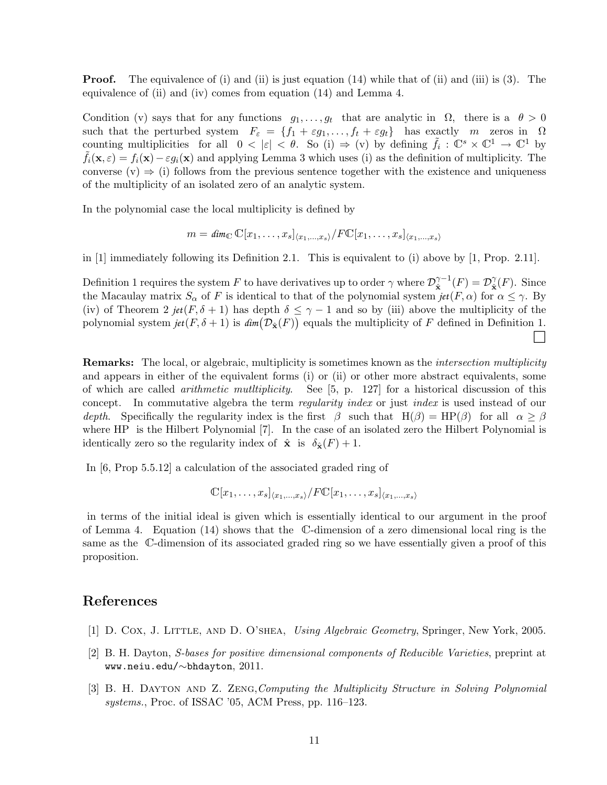**Proof.** The equivalence of (i) and (ii) is just equation (14) while that of (ii) and (iii) is (3). The equivalence of (ii) and (iv) comes from equation (14) and Lemma 4.

Condition (v) says that for any functions  $g_1, \ldots, g_t$  that are analytic in  $\Omega$ , there is a  $\theta > 0$ such that the perturbed system  $F_{\varepsilon} = \{f_1 + \varepsilon g_1, \ldots, f_t + \varepsilon g_t\}$  has exactly m zeros in  $\Omega$ counting multiplicities for all  $0 < |\varepsilon| < \theta$ . So (i)  $\Rightarrow$  (v) by defining  $\tilde{f}_i : \mathbb{C}^s \times \mathbb{C}^1 \to \mathbb{C}^1$  by  $f_i(\mathbf{x}, \varepsilon) = f_i(\mathbf{x}) - \varepsilon g_i(\mathbf{x})$  and applying Lemma 3 which uses (i) as the definition of multiplicity. The converse (v)  $\Rightarrow$  (i) follows from the previous sentence together with the existence and uniqueness of the multiplicity of an isolated zero of an analytic system.

In the polynomial case the local multiplicity is defined by

$$
m = \dim_{\mathbb{C}} \mathbb{C}[x_1,\ldots,x_s]_{\langle x_1,\ldots,x_s \rangle}/F\mathbb{C}[x_1,\ldots,x_s]_{\langle x_1,\ldots,x_s \rangle}
$$

in [1] immediately following its Definition 2.1. This is equivalent to (i) above by [1, Prop. 2.11].

Definition 1 requires the system F to have derivatives up to order  $\gamma$  where  $\mathcal{D}_{\infty}^{\gamma-1}$  $\hat{\mathbf{x}}^{-1}(F) = \mathcal{D}_{\hat{\mathbf{x}}}^{\gamma}$  $_{\hat{\mathbf{x}}}^{\gamma}(F)$ . Since the Macaulay matrix  $S_\alpha$  of F is identical to that of the polynomial system  $jet(F, \alpha)$  for  $\alpha \leq \gamma$ . By (iv) of Theorem 2 *jet*( $F, \delta + 1$ ) has depth  $\delta \leq \gamma - 1$  and so by (iii) above the multiplicity of the polynomial system  $jet(F, \delta + 1)$  is  $dim(\mathcal{D}_{\hat{\mathbf{x}}}(F))$  equals the multiplicity of F defined in Definition 1.

**Remarks:** The local, or algebraic, multiplicity is sometimes known as the *intersection multiplicity* and appears in either of the equivalent forms (i) or (ii) or other more abstract equivalents, some of which are called arithmetic mutltiplicity. See [5, p. 127] for a historical discussion of this concept. In commutative algebra the term *regularity index* or just *index* is used instead of our depth. Specifically the regularity index is the first  $\beta$  such that  $H(\beta) = HP(\beta)$  for all  $\alpha \geq \beta$ where HP is the Hilbert Polynomial [7]. In the case of an isolated zero the Hilbert Polynomial is identically zero so the regularity index of  $\hat{\mathbf{x}}$  is  $\delta_{\hat{\mathbf{x}}}(F) + 1$ .

In [6, Prop 5.5.12] a calculation of the associated graded ring of

$$
\mathbb{C}[x_1,\ldots,x_s]_{\langle x_1,\ldots,x_s\rangle}/F\mathbb{C}[x_1,\ldots,x_s]_{\langle x_1,\ldots,x_s\rangle}
$$

in terms of the initial ideal is given which is essentially identical to our argument in the proof of Lemma 4. Equation (14) shows that the C-dimension of a zero dimensional local ring is the same as the C-dimension of its associated graded ring so we have essentially given a proof of this proposition.

### References

- [1] D. Cox, J. Little, and D. O'shea, Using Algebraic Geometry, Springer, New York, 2005.
- [2] B. H. Dayton, S-bases for positive dimensional components of Reducible Varieties, preprint at www.neiu.edu/∼bhdayton, 2011.
- [3] B. H. Dayton and Z. Zeng,Computing the Multiplicity Structure in Solving Polynomial systems., Proc. of ISSAC '05, ACM Press, pp. 116–123.